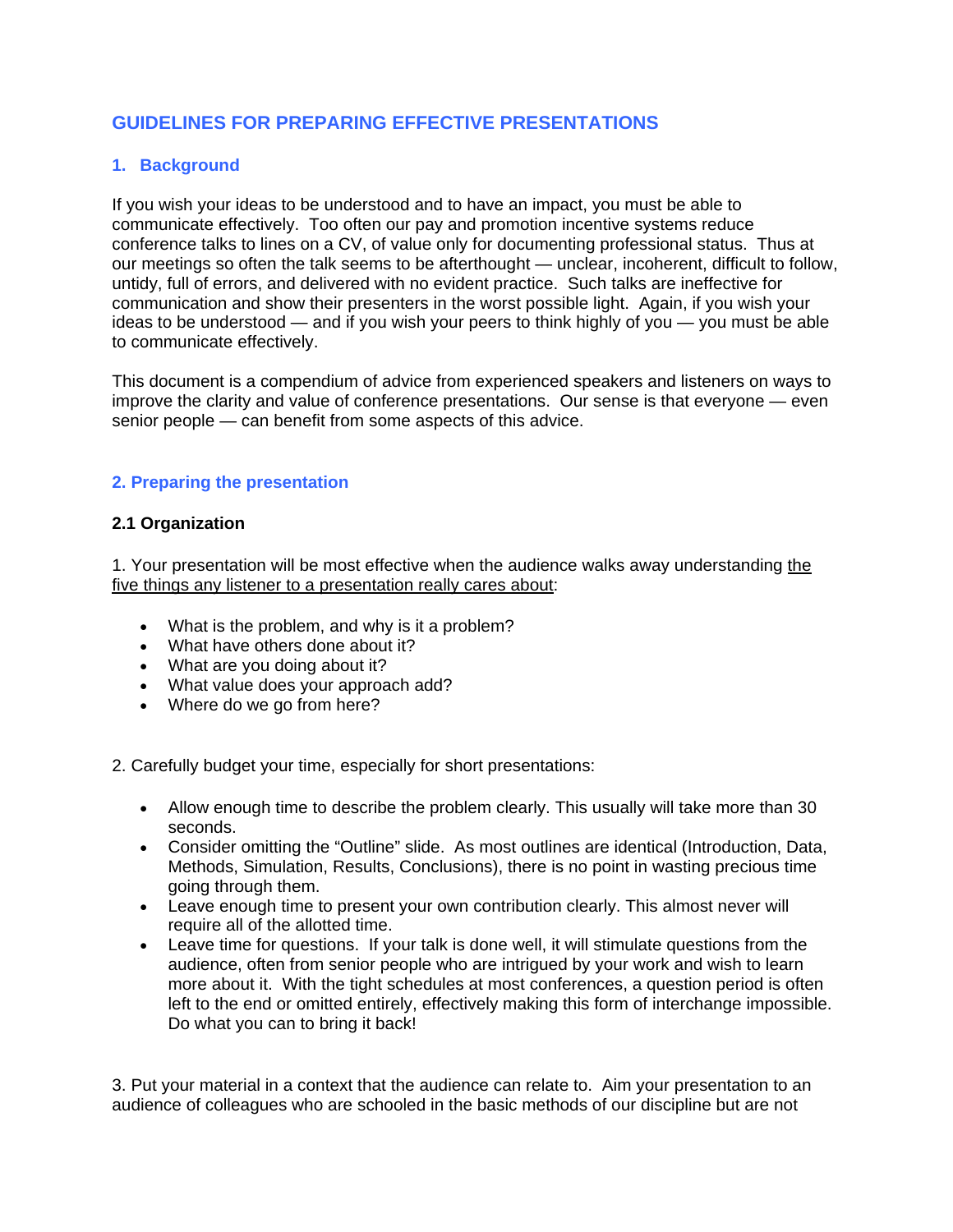# **GUIDELINES FOR PREPARING EFFECTIVE PRESENTATIONS**

#### **1. Background**

If you wish your ideas to be understood and to have an impact, you must be able to communicate effectively. Too often our pay and promotion incentive systems reduce conference talks to lines on a CV, of value only for documenting professional status. Thus at our meetings so often the talk seems to be afterthought — unclear, incoherent, difficult to follow, untidy, full of errors, and delivered with no evident practice. Such talks are ineffective for communication and show their presenters in the worst possible light. Again, if you wish your ideas to be understood — and if you wish your peers to think highly of you — you must be able to communicate effectively.

This document is a compendium of advice from experienced speakers and listeners on ways to improve the clarity and value of conference presentations. Our sense is that everyone — even senior people — can benefit from some aspects of this advice.

### **2. Preparing the presentation**

#### **2.1 Organization**

1. Your presentation will be most effective when the audience walks away understanding the five things any listener to a presentation really cares about:

- What is the problem, and why is it a problem?
- What have others done about it?
- What are you doing about it?
- What value does your approach add?
- Where do we go from here?

2. Carefully budget your time, especially for short presentations:

- Allow enough time to describe the problem clearly. This usually will take more than 30 seconds.
- Consider omitting the "Outline" slide. As most outlines are identical (Introduction, Data, Methods, Simulation, Results, Conclusions), there is no point in wasting precious time going through them.
- Leave enough time to present your own contribution clearly. This almost never will require all of the allotted time.
- Leave time for questions. If your talk is done well, it will stimulate questions from the audience, often from senior people who are intrigued by your work and wish to learn more about it. With the tight schedules at most conferences, a question period is often left to the end or omitted entirely, effectively making this form of interchange impossible. Do what you can to bring it back!

3. Put your material in a context that the audience can relate to. Aim your presentation to an audience of colleagues who are schooled in the basic methods of our discipline but are not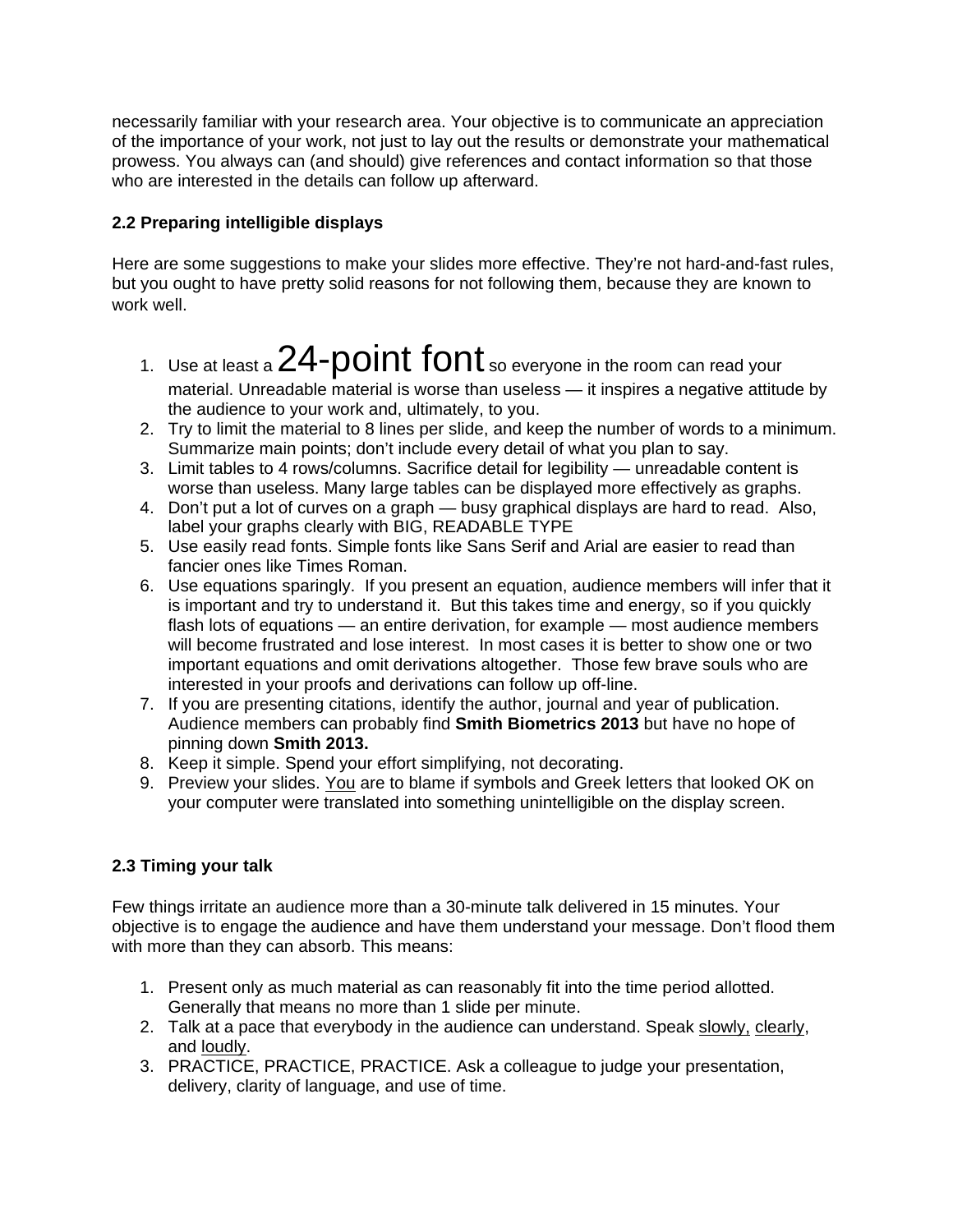necessarily familiar with your research area. Your objective is to communicate an appreciation of the importance of your work, not just to lay out the results or demonstrate your mathematical prowess. You always can (and should) give references and contact information so that those who are interested in the details can follow up afterward.

## **2.2 Preparing intelligible displays**

Here are some suggestions to make your slides more effective. They're not hard-and-fast rules, but you ought to have pretty solid reasons for not following them, because they are known to work well.

- 1. Use at least a  $24$ - $point$  font so everyone in the room can read your material. Unreadable material is worse than useless — it inspires a negative attitude by the audience to your work and, ultimately, to you.
- 2. Try to limit the material to 8 lines per slide, and keep the number of words to a minimum. Summarize main points; don't include every detail of what you plan to say.
- 3. Limit tables to 4 rows/columns. Sacrifice detail for legibility unreadable content is worse than useless. Many large tables can be displayed more effectively as graphs.
- 4. Don't put a lot of curves on a graph busy graphical displays are hard to read. Also, label your graphs clearly with BIG, READABLE TYPE
- 5. Use easily read fonts. Simple fonts like Sans Serif and Arial are easier to read than fancier ones like Times Roman.
- 6. Use equations sparingly. If you present an equation, audience members will infer that it is important and try to understand it. But this takes time and energy, so if you quickly flash lots of equations — an entire derivation, for example — most audience members will become frustrated and lose interest. In most cases it is better to show one or two important equations and omit derivations altogether. Those few brave souls who are interested in your proofs and derivations can follow up off-line.
- 7. If you are presenting citations, identify the author, journal and year of publication. Audience members can probably find **Smith Biometrics 2013** but have no hope of pinning down **Smith 2013.**
- 8. Keep it simple. Spend your effort simplifying, not decorating.
- 9. Preview your slides. You are to blame if symbols and Greek letters that looked OK on your computer were translated into something unintelligible on the display screen.

## **2.3 Timing your talk**

Few things irritate an audience more than a 30-minute talk delivered in 15 minutes. Your objective is to engage the audience and have them understand your message. Don't flood them with more than they can absorb. This means:

- 1. Present only as much material as can reasonably fit into the time period allotted. Generally that means no more than 1 slide per minute.
- 2. Talk at a pace that everybody in the audience can understand. Speak slowly, clearly, and loudly.
- 3. PRACTICE, PRACTICE, PRACTICE. Ask a colleague to judge your presentation, delivery, clarity of language, and use of time.